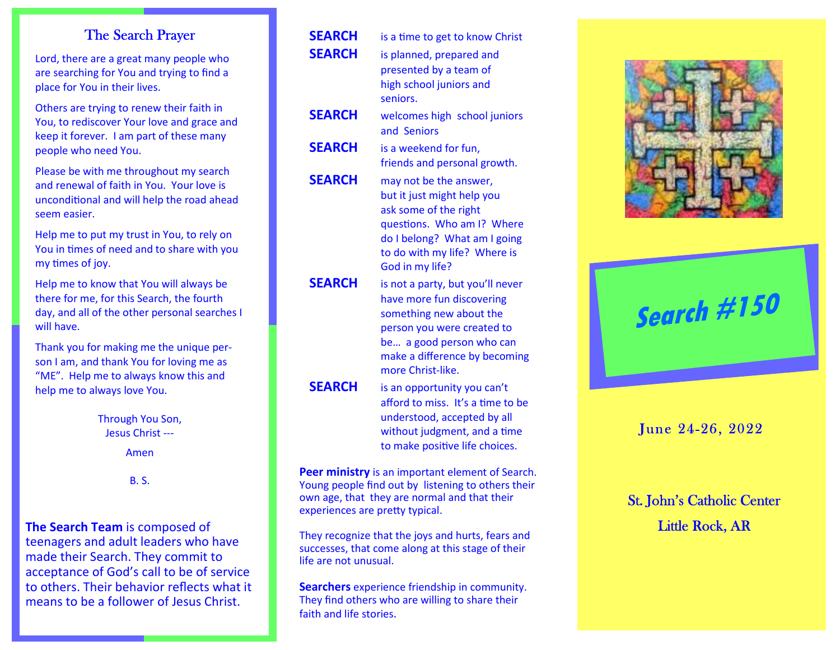**The Search Team** is composed of teenagers and adult leaders who have made their Search. They commit to acceptance of God's call to be of service to others. Their behavior reflects what it means to be a follower of Jesus Christ.

| <b>The Search Prayer</b>                                                                                                                            | <b>SEARCH</b> | is a time to get to know Christ                                                                                        |                                   |
|-----------------------------------------------------------------------------------------------------------------------------------------------------|---------------|------------------------------------------------------------------------------------------------------------------------|-----------------------------------|
| Lord, there are a great many people who<br>are searching for You and trying to find a<br>place for You in their lives.                              | <b>SEARCH</b> | is planned, prepared and<br>presented by a team of<br>high school juniors and<br>seniors.                              |                                   |
| Others are trying to renew their faith in<br>You, to rediscover Your love and grace and<br>keep it forever. I am part of these many                 | <b>SEARCH</b> | welcomes high school juniors<br>and Seniors                                                                            |                                   |
| people who need You.                                                                                                                                | <b>SEARCH</b> | is a weekend for fun,                                                                                                  |                                   |
| Please be with me throughout my search<br>and renewal of faith in You. Your love is<br>unconditional and will help the road ahead<br>seem easier.   | <b>SEARCH</b> | friends and personal growth.<br>may not be the answer,<br>but it just might help you<br>ask some of the right          |                                   |
| Help me to put my trust in You, to rely on<br>You in times of need and to share with you<br>my times of joy.                                        |               | questions. Who am I? Where<br>do I belong? What am I going<br>to do with my life? Where is<br>God in my life?          |                                   |
| Help me to know that You will always be<br>there for me, for this Search, the fourth<br>day, and all of the other personal searches I<br>will have. | <b>SEARCH</b> | is not a party, but you'll never<br>have more fun discovering<br>something new about the<br>person you were created to | Search #150                       |
| Thank you for making me the unique per-<br>son I am, and thank You for loving me as<br>"ME". Help me to always know this and                        |               | be a good person who can<br>make a difference by becoming<br>more Christ-like.                                         |                                   |
| help me to always love You.                                                                                                                         | <b>SEARCH</b> | is an opportunity you can't<br>afford to miss. It's a time to be                                                       |                                   |
| Through You Son,<br>Jesus Christ ---                                                                                                                |               | understood, accepted by all<br>without judgment, and a time                                                            | June 24-26, 2022                  |
| Amen                                                                                                                                                |               | to make positive life choices.                                                                                         |                                   |
| <b>B.S.</b>                                                                                                                                         |               | Peer ministry is an important element of Search.<br>Young people find out by listening to others their                 |                                   |
|                                                                                                                                                     |               | own age, that they are normal and that their<br>experiences are pretty typical.                                        | <b>St. John's Catholic Center</b> |
| ne Search Team is composed of<br>cussome and salved the second contract of                                                                          |               | They recognize that the joys and hurts, fears and                                                                      | <b>Little Rock, AR</b>            |

successes, that come along at this stage of their life are not unusual.

**Searchers** experience friendship in community. They find others who are willing to share their faith and life stories.